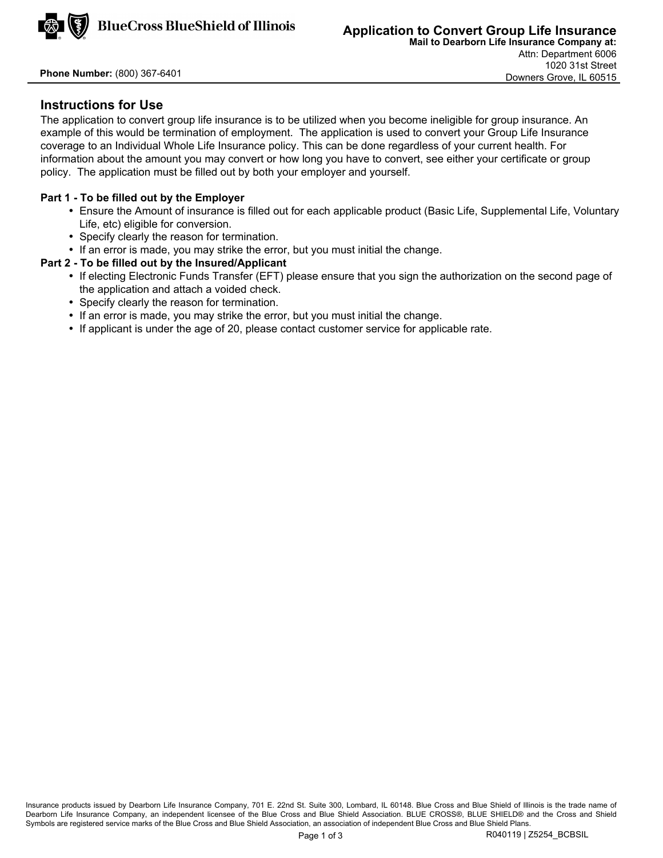

**Phone Number:** (800) 367-6401

# **Instructions for Use**

The application to convert group life insurance is to be utilized when you become ineligible for group insurance. An example of this would be termination of employment. The application is used to convert your Group Life Insurance coverage to an Individual Whole Life Insurance policy. This can be done regardless of your current health. For information about the amount you may convert or how long you have to convert, see either your certificate or group policy. The application must be filled out by both your employer and yourself.

## **Part 1 - To be filled out by the Employer**

- Ensure the Amount of insurance is filled out for each applicable product (Basic Life, Supplemental Life, Voluntary Life, etc) eligible for conversion.
- Specify clearly the reason for termination.
- If an error is made, you may strike the error, but you must initial the change.

## **Part 2 - To be filled out by the Insured/Applicant**

- If electing Electronic Funds Transfer (EFT) please ensure that you sign the authorization on the second page of the application and attach a voided check.
- Specify clearly the reason for termination.
- If an error is made, you may strike the error, but you must initial the change.
- If applicant is under the age of 20, please contact customer service for applicable rate.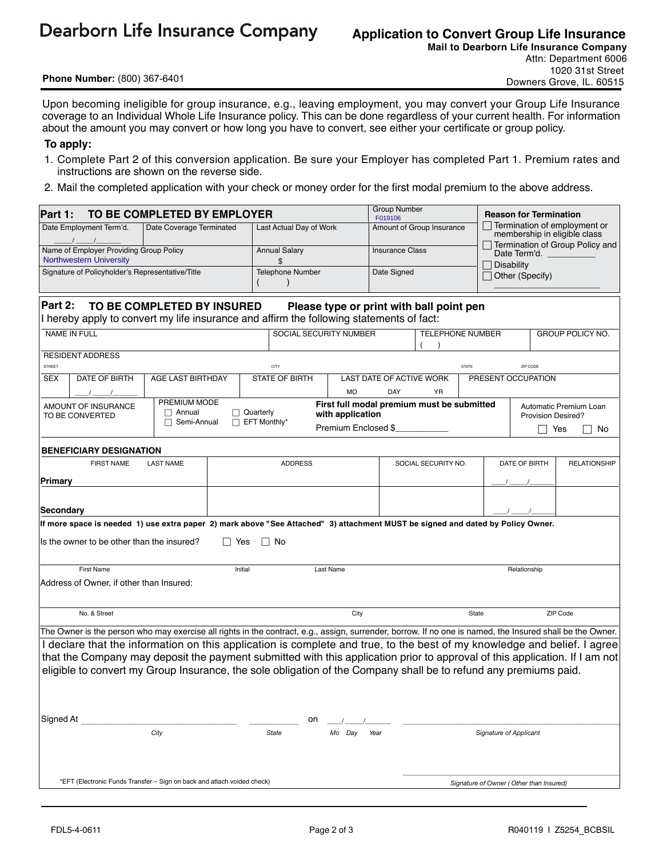**Dearborn Life Insurance Company** 

# **Application to Convert Group Life Insurance**

**Phone Number:** (800) 367-6401

**Mail to Dearborn Life Insurance Company**  Attn: Department 6006 1020 31st Street Downers Grove, IL. 60515

Upon becoming ineligible for group insurance, e.g., leaving employment, you may convert your Group Life Insurance coverage to an Individual Whole Life Insurance policy. This can be done regardless of your current health. For information about the amount you may convert or how long you have to convert, see either your certificate or group policy.

#### **To apply:**

- 1. Complete Part 2 of this conversion application. Be sure your Employer has completed Part 1. Premium rates and instructions are shown on the reverse side.
- 2. Mail the completed application with your check or money order for the first modal premium to the above address.

| TO BE COMPLETED BY EMPLOYER<br>Part 1:                                                                                                                                        |                                                                                                                                                           |                          |                               |                               |                |                         |                                         | <b>Group Number</b><br>F019106             |                         |                                                              | <b>Reason for Termination</b>                   |  |  |  |
|-------------------------------------------------------------------------------------------------------------------------------------------------------------------------------|-----------------------------------------------------------------------------------------------------------------------------------------------------------|--------------------------|-------------------------------|-------------------------------|----------------|-------------------------|-----------------------------------------|--------------------------------------------|-------------------------|--------------------------------------------------------------|-------------------------------------------------|--|--|--|
|                                                                                                                                                                               | Date Employment Term'd.                                                                                                                                   | Date Coverage Terminated |                               | Last Actual Day of Work       |                |                         |                                         | Amount of Group Insurance                  |                         | Termination of employment or<br>membership in eligible class |                                                 |  |  |  |
| Name of Employer Providing Group Policy                                                                                                                                       |                                                                                                                                                           |                          |                               | <b>Annual Salary</b>          |                |                         |                                         | <b>Insurance Class</b>                     |                         |                                                              | Termination of Group Policy and<br>Date Term'd. |  |  |  |
|                                                                                                                                                                               | <b>Northwestern University</b><br>Signature of Policyholder's Representative/Title                                                                        |                          |                               | \$<br><b>Telephone Number</b> |                |                         | Date Signed                             |                                            |                         | <b>Disability</b>                                            |                                                 |  |  |  |
|                                                                                                                                                                               |                                                                                                                                                           |                          |                               |                               |                |                         |                                         |                                            |                         | Other (Specify)                                              |                                                 |  |  |  |
|                                                                                                                                                                               |                                                                                                                                                           |                          |                               |                               |                |                         |                                         |                                            |                         |                                                              |                                                 |  |  |  |
| Part 2:<br>TO BE COMPLETED BY INSURED<br>Please type or print with ball point pen<br>I hereby apply to convert my life insurance and affirm the following statements of fact: |                                                                                                                                                           |                          |                               |                               |                |                         |                                         |                                            |                         |                                                              |                                                 |  |  |  |
|                                                                                                                                                                               | <b>NAME IN FULL</b>                                                                                                                                       |                          | <b>SOCIAL SECURITY NUMBER</b> |                               |                | <b>TELEPHONE NUMBER</b> |                                         |                                            | <b>GROUP POLICY NO.</b> |                                                              |                                                 |  |  |  |
|                                                                                                                                                                               | <b>RESIDENT ADDRESS</b>                                                                                                                                   |                          |                               |                               |                |                         |                                         |                                            |                         |                                                              |                                                 |  |  |  |
| STREET                                                                                                                                                                        |                                                                                                                                                           |                          |                               |                               | CITY           |                         |                                         | <b>STATE</b>                               |                         |                                                              | ZIP CODE<br>PRESENT OCCUPATION                  |  |  |  |
| <b>SEX</b>                                                                                                                                                                    | DATE OF BIRTH                                                                                                                                             | AGE LAST BIRTHDAY        |                               | STATE OF BIRTH                |                | <b>MO</b>               | <b>DAY</b>                              | LAST DATE OF ACTIVE WORK<br><b>YR</b>      |                         |                                                              |                                                 |  |  |  |
|                                                                                                                                                                               | AMOUNT OF INSURANCE                                                                                                                                       | PREMIUM MODE             |                               |                               |                |                         |                                         | First full modal premium must be submitted |                         |                                                              |                                                 |  |  |  |
|                                                                                                                                                                               | TO BE CONVERTED                                                                                                                                           | $\Box$ Annual            |                               | $\Box$ Quarterly              |                | with application        |                                         |                                            |                         | Automatic Premium Loan<br><b>Provision Desired?</b>          |                                                 |  |  |  |
|                                                                                                                                                                               |                                                                                                                                                           | $\Box$ Semi-Annual       |                               | $\Box$ EFT Monthly*           |                | Premium Enclosed \$     |                                         |                                            |                         | Yes<br>No                                                    |                                                 |  |  |  |
|                                                                                                                                                                               | <b>BENEFICIARY DESIGNATION</b>                                                                                                                            |                          |                               |                               |                |                         |                                         |                                            |                         |                                                              |                                                 |  |  |  |
|                                                                                                                                                                               | <b>FIRST NAME</b>                                                                                                                                         | <b>LAST NAME</b>         |                               |                               | <b>ADDRESS</b> |                         |                                         | SOCIAL SECURITY NO.                        |                         |                                                              | DATE OF BIRTH<br><b>RELATIONSHIP</b>            |  |  |  |
| Primary                                                                                                                                                                       |                                                                                                                                                           |                          |                               |                               |                |                         |                                         |                                            |                         |                                                              |                                                 |  |  |  |
|                                                                                                                                                                               |                                                                                                                                                           |                          |                               |                               |                |                         |                                         |                                            |                         |                                                              |                                                 |  |  |  |
| Secondary                                                                                                                                                                     |                                                                                                                                                           |                          |                               |                               |                |                         |                                         |                                            |                         |                                                              |                                                 |  |  |  |
|                                                                                                                                                                               | If more space is needed 1) use extra paper 2) mark above "See Attached" 3) attachment MUST be signed and dated by Policy Owner.                           |                          |                               |                               |                |                         |                                         |                                            |                         |                                                              |                                                 |  |  |  |
|                                                                                                                                                                               | Is the owner to be other than the insured?                                                                                                                |                          | ∐ Yes                         | $\Box$ No                     |                |                         |                                         |                                            |                         |                                                              |                                                 |  |  |  |
|                                                                                                                                                                               | <b>First Name</b>                                                                                                                                         |                          | Initial                       |                               | Last Name      |                         |                                         |                                            |                         | Relationship                                                 |                                                 |  |  |  |
|                                                                                                                                                                               | Address of Owner, if other than Insured:                                                                                                                  |                          |                               |                               |                |                         |                                         |                                            |                         |                                                              |                                                 |  |  |  |
|                                                                                                                                                                               |                                                                                                                                                           |                          |                               |                               |                |                         |                                         |                                            |                         |                                                              |                                                 |  |  |  |
| No. & Street                                                                                                                                                                  |                                                                                                                                                           |                          |                               | City                          |                |                         | State                                   |                                            |                         | ZIP Code                                                     |                                                 |  |  |  |
|                                                                                                                                                                               | The Owner is the person who may exercise all rights in the contract, e.g., assign, surrender, borrow. If no one is named, the Insured shall be the Owner. |                          |                               |                               |                |                         |                                         |                                            |                         |                                                              |                                                 |  |  |  |
|                                                                                                                                                                               | I declare that the information on this application is complete and true, to the best of my knowledge and belief. I agree                                  |                          |                               |                               |                |                         |                                         |                                            |                         |                                                              |                                                 |  |  |  |
|                                                                                                                                                                               | that the Company may deposit the payment submitted with this application prior to approval of this application. If I am not                               |                          |                               |                               |                |                         |                                         |                                            |                         |                                                              |                                                 |  |  |  |
|                                                                                                                                                                               | eligible to convert my Group Insurance, the sole obligation of the Company shall be to refund any premiums paid.                                          |                          |                               |                               |                |                         |                                         |                                            |                         |                                                              |                                                 |  |  |  |
|                                                                                                                                                                               |                                                                                                                                                           |                          |                               |                               |                |                         |                                         |                                            |                         |                                                              |                                                 |  |  |  |
|                                                                                                                                                                               |                                                                                                                                                           |                          |                               |                               |                |                         |                                         |                                            |                         |                                                              |                                                 |  |  |  |
| Sianed At                                                                                                                                                                     |                                                                                                                                                           |                          |                               |                               | on             |                         |                                         |                                            |                         |                                                              |                                                 |  |  |  |
| City                                                                                                                                                                          |                                                                                                                                                           |                          | State                         |                               | Mo Day         | Year                    | Signature of Applicant                  |                                            |                         |                                                              |                                                 |  |  |  |
|                                                                                                                                                                               |                                                                                                                                                           |                          |                               |                               |                |                         |                                         |                                            |                         |                                                              |                                                 |  |  |  |
|                                                                                                                                                                               |                                                                                                                                                           |                          |                               |                               |                |                         |                                         |                                            |                         |                                                              |                                                 |  |  |  |
| *EFT (Electronic Funds Transfer - Sign on back and attach voided check)                                                                                                       |                                                                                                                                                           |                          |                               |                               |                |                         | Signature of Owner (Other than Insured) |                                            |                         |                                                              |                                                 |  |  |  |
|                                                                                                                                                                               |                                                                                                                                                           |                          |                               |                               |                |                         |                                         |                                            |                         |                                                              |                                                 |  |  |  |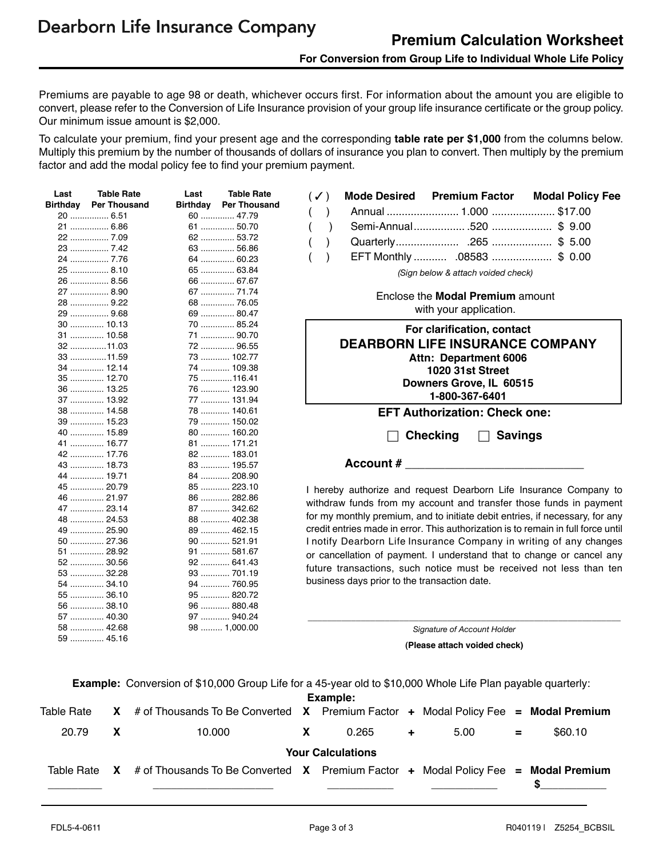Premiums are payable to age 98 or death, whichever occurs first. For information about the amount you are eligible to convert, please refer to the Conversion of Life Insurance provision of your group life insurance certificate or the group policy. Our minimum issue amount is \$2,000.

To calculate your premium, find your present age and the corresponding **table rate per \$1,000** from the columns below. Multiply this premium by the number of thousands of dollars of insurance you plan to convert. Then multiply by the premium factor and add the modal policy fee to find your premium payment.

| Last            | <b>Table Rate</b>     | Last                         | <b>Table Rate</b><br>$\checkmark$ ) | <b>Mode Desired</b>                                                               | <b>Premium Factor</b>                   | <b>Modal Policy Fee</b> |
|-----------------|-----------------------|------------------------------|-------------------------------------|-----------------------------------------------------------------------------------|-----------------------------------------|-------------------------|
| <b>Birthday</b> | <b>Per Thousand</b>   | <b>Birthday</b> Per Thousand |                                     | $\lambda$                                                                         |                                         |                         |
|                 | 20  6.51              | 60  47.79                    |                                     |                                                                                   |                                         |                         |
|                 | 21  6.86              | 61  50.70                    |                                     | $\mathcal{E}$                                                                     |                                         |                         |
|                 | 22  7.09              | 62  53.72                    |                                     |                                                                                   |                                         |                         |
|                 | 23  7.42              | 63  56.86                    |                                     |                                                                                   | EFT Monthly  .08583 \$ 0.00             |                         |
|                 | 24  7.76              | 64  60.23                    |                                     |                                                                                   |                                         |                         |
|                 | 25  8.10              | 65  63.84                    |                                     |                                                                                   | (Sign below & attach voided check)      |                         |
|                 | 26  8.56              | 66  67.67                    |                                     |                                                                                   |                                         |                         |
|                 | 27  8.90              | 67  71.74                    |                                     |                                                                                   | Enclose the <b>Modal Premium</b> amount |                         |
|                 | 28  9.22              | 68  76.05                    |                                     |                                                                                   | with your application.                  |                         |
|                 | 29  9.68              | 69  80.47                    |                                     |                                                                                   |                                         |                         |
|                 | 30  10.13             | 70  85.24<br>71  90.70       |                                     |                                                                                   | For clarification, contact              |                         |
|                 | 31  10.58<br>32 11.03 | 72  96.55                    |                                     | <b>DEARBORN LIFE INSURANCE COMPANY</b>                                            |                                         |                         |
|                 | 33 11.59              | 73  102.77                   |                                     |                                                                                   |                                         |                         |
|                 | 34  12.14             | 74  109.38                   |                                     |                                                                                   | Attn: Department 6006                   |                         |
|                 | 35  12.70             | 75 116.41                    |                                     |                                                                                   | <b>1020 31st Street</b>                 |                         |
|                 | 36  13.25             | 76  123.90                   |                                     |                                                                                   | Downers Grove, IL 60515                 |                         |
|                 | 37  13.92             | 77  131.94                   |                                     |                                                                                   | 1-800-367-6401                          |                         |
|                 | 38  14.58             | 78  140.61                   |                                     |                                                                                   | <b>EFT Authorization: Check one:</b>    |                         |
|                 | 39  15.23             | 79  150.02                   |                                     |                                                                                   |                                         |                         |
|                 | 40  15.89             | 80  160.20                   |                                     |                                                                                   |                                         |                         |
|                 | 41  16.77             | 81  171.21                   |                                     | <b>Checking</b>                                                                   | <b>Savings</b><br>$\Box$                |                         |
|                 | 42  17.76             | 82  183.01                   |                                     |                                                                                   |                                         |                         |
|                 | 43  18.73             | 83  195.57                   |                                     | Account $#$                                                                       |                                         |                         |
|                 | 44  19.71             | 84  208.90                   |                                     |                                                                                   |                                         |                         |
|                 | 45  20.79             | 85  223.10                   |                                     | I hereby authorize and request Dearborn Life Insurance Company to                 |                                         |                         |
|                 | 46  21.97             | 86  282.86                   |                                     |                                                                                   |                                         |                         |
|                 | 47  23.14             | 87  342.62                   |                                     | withdraw funds from my account and transfer those funds in payment                |                                         |                         |
|                 | 48  24.53             | 88  402.38                   |                                     | for my monthly premium, and to initiate debit entries, if necessary, for any      |                                         |                         |
|                 | 49  25.90             | 89  462.15                   |                                     | credit entries made in error. This authorization is to remain in full force until |                                         |                         |
|                 | 50  27.36             | 90  521.91                   |                                     | I notify Dearborn Life Insurance Company in writing of any changes                |                                         |                         |
|                 | 51  28.92             | 91  581.67                   |                                     | or cancellation of payment. I understand that to change or cancel any             |                                         |                         |
|                 | 52  30.56             | 92  641.43                   |                                     | future transactions, such notice must be received not less than ten               |                                         |                         |
|                 | 53  32.28             | 93  701.19                   |                                     |                                                                                   |                                         |                         |
|                 | 54  34.10             | 94  760.95                   |                                     | business days prior to the transaction date.                                      |                                         |                         |
|                 | 55  36.10             | 95  820.72                   |                                     |                                                                                   |                                         |                         |
|                 | 56  38.10             | 96  880.48                   |                                     |                                                                                   |                                         |                         |
|                 | 57  40.30             | 97  940.24                   |                                     |                                                                                   |                                         |                         |
|                 | 58  42.68             | 98  1,000.00                 |                                     |                                                                                   | Signature of Account Holder             |                         |
|                 | 59  45.16             |                              |                                     |                                                                                   | (Please attach voided check)            |                         |
|                 |                       |                              |                                     |                                                                                   |                                         |                         |

**Example:** Conversion of \$10,000 Group Life for a 45-year old to \$10,000 Whole Life Plan payable quarterly:

| Example:                 |              |                                                                                                                |  |       |      |  |     |         |  |  |
|--------------------------|--------------|----------------------------------------------------------------------------------------------------------------|--|-------|------|--|-----|---------|--|--|
| Table Rate               |              | $\overline{X}$ # of Thousands To Be Converted $\overline{X}$ Premium Factor + Modal Policy Fee = Modal Premium |  |       |      |  |     |         |  |  |
| 20.79                    | $\mathbf{X}$ | 10.000                                                                                                         |  | 0.265 | 5.00 |  | $=$ | \$60.10 |  |  |
| <b>Your Calculations</b> |              |                                                                                                                |  |       |      |  |     |         |  |  |
| Table Rate               | X.           | # of Thousands To Be Converted $X$ Premium Factor + Modal Policy Fee = Modal Premium                           |  |       |      |  |     |         |  |  |
|                          |              |                                                                                                                |  |       |      |  |     |         |  |  |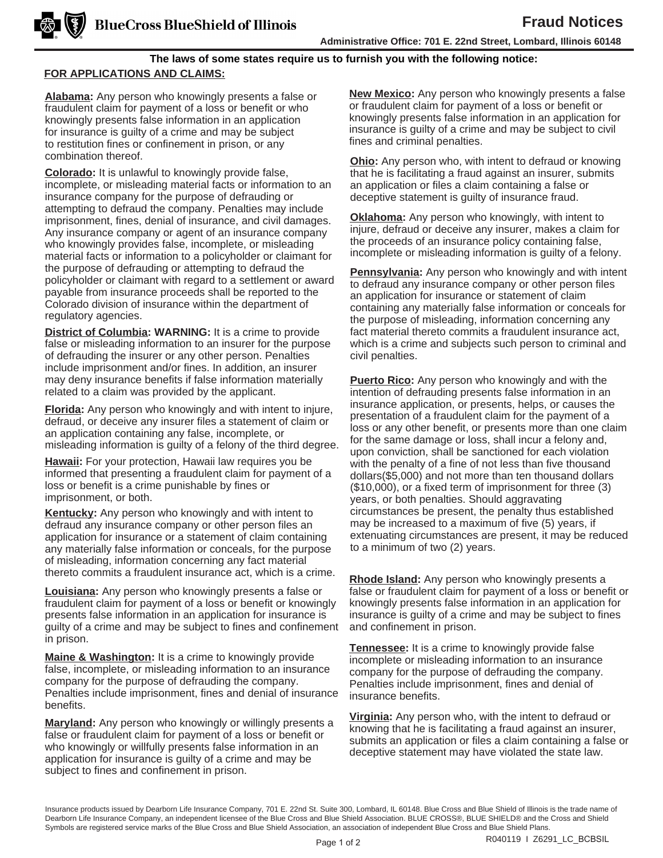### **Administrative Office: 701 E. 22nd Street, Lombard, Illinois 60148**

## **The laws of some states require us to furnish you with the following notice: FOR APPLICATIONS AND CLAIMS:**

**Alabama:** Any person who knowingly presents a false or fraudulent claim for payment of a loss or benefit or who knowingly presents false information in an application for insurance is guilty of a crime and may be subject to restitution fines or confinement in prison, or any combination thereof.

**Colorado:** It is unlawful to knowingly provide false, incomplete, or misleading material facts or information to an insurance company for the purpose of defrauding or attempting to defraud the company. Penalties may include imprisonment, fines, denial of insurance, and civil damages. Any insurance company or agent of an insurance company who knowingly provides false, incomplete, or misleading material facts or information to a policyholder or claimant for the purpose of defrauding or attempting to defraud the policyholder or claimant with regard to a settlement or award payable from insurance proceeds shall be reported to the Colorado division of insurance within the department of regulatory agencies.

**District of Columbia: WARNING:** It is a crime to provide false or misleading information to an insurer for the purpose of defrauding the insurer or any other person. Penalties include imprisonment and/or fines. In addition, an insurer may deny insurance benefits if false information materially related to a claim was provided by the applicant.

**Florida:** Any person who knowingly and with intent to injure, defraud, or deceive any insurer files a statement of claim or an application containing any false, incomplete, or misleading information is guilty of a felony of the third degree.

**Hawaii:** For your protection, Hawaii law requires you be informed that presenting a fraudulent claim for payment of a loss or benefit is a crime punishable by fines or imprisonment, or both.

**Kentucky:** Any person who knowingly and with intent to defraud any insurance company or other person files an application for insurance or a statement of claim containing any materially false information or conceals, for the purpose of misleading, information concerning any fact material thereto commits a fraudulent insurance act, which is a crime.

**Louisiana:** Any person who knowingly presents a false or fraudulent claim for payment of a loss or benefit or knowingly presents false information in an application for insurance is guilty of a crime and may be subject to fines and confinement in prison.

**Maine & Washington:** It is a crime to knowingly provide false, incomplete, or misleading information to an insurance company for the purpose of defrauding the company. Penalties include imprisonment, fines and denial of insurance benefits.

**Maryland:** Any person who knowingly or willingly presents a false or fraudulent claim for payment of a loss or benefit or who knowingly or willfully presents false information in an application for insurance is guilty of a crime and may be subject to fines and confinement in prison.

**New Mexico:** Any person who knowingly presents a false or fraudulent claim for payment of a loss or benefit or knowingly presents false information in an application for insurance is guilty of a crime and may be subject to civil fines and criminal penalties.

**Ohio:** Any person who, with intent to defraud or knowing that he is facilitating a fraud against an insurer, submits an application or files a claim containing a false or deceptive statement is guilty of insurance fraud.

**Oklahoma:** Any person who knowingly, with intent to injure, defraud or deceive any insurer, makes a claim for the proceeds of an insurance policy containing false, incomplete or misleading information is guilty of a felony.

**Pennsylvania:** Any person who knowingly and with intent to defraud any insurance company or other person files an application for insurance or statement of claim containing any materially false information or conceals for the purpose of misleading, information concerning any fact material thereto commits a fraudulent insurance act, which is a crime and subjects such person to criminal and civil penalties.

**Puerto Rico:** Any person who knowingly and with the intention of defrauding presents false information in an insurance application, or presents, helps, or causes the presentation of a fraudulent claim for the payment of a loss or any other benefit, or presents more than one claim for the same damage or loss, shall incur a felony and, upon conviction, shall be sanctioned for each violation with the penalty of a fine of not less than five thousand dollars(\$5,000) and not more than ten thousand dollars (\$10,000), or a fixed term of imprisonment for three (3) years, or both penalties. Should aggravating circumstances be present, the penalty thus established may be increased to a maximum of five (5) years, if extenuating circumstances are present, it may be reduced to a minimum of two (2) years.

**Rhode Island:** Any person who knowingly presents a false or fraudulent claim for payment of a loss or benefit or knowingly presents false information in an application for insurance is guilty of a crime and may be subject to fines and confinement in prison.

**Tennessee:** It is a crime to knowingly provide false incomplete or misleading information to an insurance company for the purpose of defrauding the company. Penalties include imprisonment, fines and denial of insurance benefits.

**Virginia:** Any person who, with the intent to defraud or knowing that he is facilitating a fraud against an insurer, submits an application or files a claim containing a false or deceptive statement may have violated the state law.

Insurance products issued by Dearborn Life Insurance Company, 701 E. 22nd St. Suite 300, Lombard, IL 60148. Blue Cross and Blue Shield of Illinois is the trade name of Dearborn Life Insurance Company, an independent licensee of the Blue Cross and Blue Shield Association. BLUE CROSS®, BLUE SHIELD® and the Cross and Shield Symbols are registered service marks of the Blue Cross and Blue Shield Association, an association of independent Blue Cross and Blue Shield Plans.